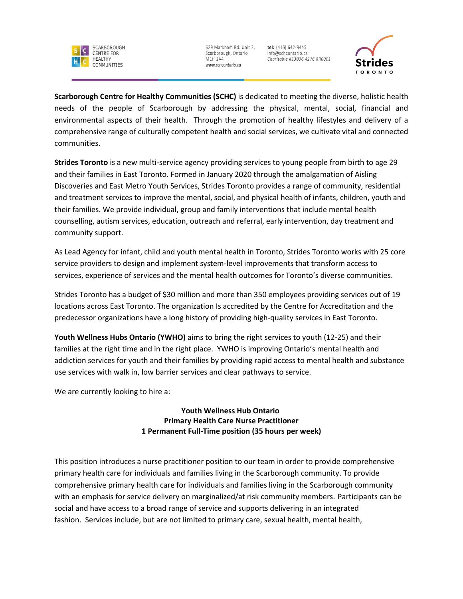

tel: (416) 642-9445 info@schcontario.ca Charitable #13036 4276 RR0001



**Scarborough Centre for Healthy Communities (SCHC)** is dedicated to meeting the diverse, holistic health needs of the people of Scarborough by addressing the physical, mental, social, financial and environmental aspects of their health. Through the promotion of healthy lifestyles and delivery of a comprehensive range of culturally competent health and social services, we cultivate vital and connected communities.

**Strides Toronto** is a new multi-service agency providing services to young people from birth to age 29 and their families in East Toronto. Formed in January 2020 through the amalgamation of Aisling Discoveries and East Metro Youth Services, Strides Toronto provides a range of community, residential and treatment services to improve the mental, social, and physical health of infants, children, youth and their families. We provide individual, group and family interventions that include mental health counselling, autism services, education, outreach and referral, early intervention, day treatment and community support.

As Lead Agency for infant, child and youth mental health in Toronto, Strides Toronto works with 25 core service providers to design and implement system-level improvements that transform access to services, experience of services and the mental health outcomes for Toronto's diverse communities.

Strides Toronto has a budget of \$30 million and more than 350 employees providing services out of 19 locations across East Toronto. The organization Is accredited by the Centre for Accreditation and the predecessor organizations have a long history of providing high-quality services in East Toronto.

**Youth Wellness Hubs Ontario (YWHO)** aims to bring the right services to youth (12-25) and their families at the right time and in the right place. YWHO is improving Ontario's mental health and addiction services for youth and their families by providing rapid access to mental health and substance use services with walk in, low barrier services and clear pathways to service.

We are currently looking to hire a:

**Youth Wellness Hub Ontario Primary Health Care Nurse Practitioner 1 Permanent Full-Time position (35 hours per week)**

This position introduces a nurse practitioner position to our team in order to provide comprehensive primary health care for individuals and families living in the Scarborough community. To provide comprehensive primary health care for individuals and families living in the Scarborough community with an emphasis for service delivery on marginalized/at risk community members. Participants can be social and have access to a broad range of service and supports delivering in an integrated fashion. Services include, but are not limited to primary care, sexual health, mental health,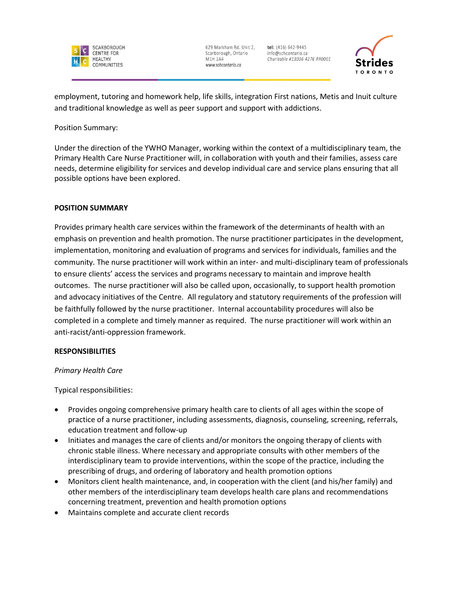

tel: (416) 642-9445 info@schcontario.ca Charitable #13036 4276 RR0001



employment, tutoring and homework help, life skills, integration First nations, Metis and Inuit culture and traditional knowledge as well as peer support and support with addictions.

Position Summary:

Under the direction of the YWHO Manager, working within the context of a multidisciplinary team, the Primary Health Care Nurse Practitioner will, in collaboration with youth and their families, assess care needs, determine eligibility for services and develop individual care and service plans ensuring that all possible options have been explored.

# **POSITION SUMMARY**

Provides primary health care services within the framework of the determinants of health with an emphasis on prevention and health promotion. The nurse practitioner participates in the development, implementation, monitoring and evaluation of programs and services for individuals, families and the community. The nurse practitioner will work within an inter- and multi-disciplinary team of professionals to ensure clients' access the services and programs necessary to maintain and improve health outcomes. The nurse practitioner will also be called upon, occasionally, to support health promotion and advocacy initiatives of the Centre. All regulatory and statutory requirements of the profession will be faithfully followed by the nurse practitioner. Internal accountability procedures will also be completed in a complete and timely manner as required. The nurse practitioner will work within an anti-racist/anti-oppression framework.

# **RESPONSIBILITIES**

# *Primary Health Care*

Typical responsibilities:

- Provides ongoing comprehensive primary health care to clients of all ages within the scope of practice of a nurse practitioner, including assessments, diagnosis, counseling, screening, referrals, education treatment and follow-up
- Initiates and manages the care of clients and/or monitors the ongoing therapy of clients with chronic stable illness. Where necessary and appropriate consults with other members of the interdisciplinary team to provide interventions, within the scope of the practice, including the prescribing of drugs, and ordering of laboratory and health promotion options
- Monitors client health maintenance, and, in cooperation with the client (and his/her family) and other members of the interdisciplinary team develops health care plans and recommendations concerning treatment, prevention and health promotion options
- Maintains complete and accurate client records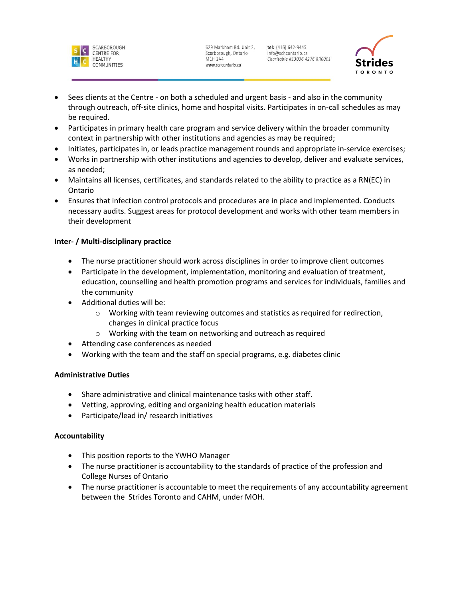

tel: (416) 642-9445 info@schcontario.ca Charitable #13036 4276 RR0001



- Sees clients at the Centre on both a scheduled and urgent basis and also in the community through outreach, off-site clinics, home and hospital visits. Participates in on-call schedules as may be required.
- Participates in primary health care program and service delivery within the broader community context in partnership with other institutions and agencies as may be required;
- Initiates, participates in, or leads practice management rounds and appropriate in-service exercises;
- Works in partnership with other institutions and agencies to develop, deliver and evaluate services, as needed;
- Maintains all licenses, certificates, and standards related to the ability to practice as a RN(EC) in Ontario
- Ensures that infection control protocols and procedures are in place and implemented. Conducts necessary audits. Suggest areas for protocol development and works with other team members in their development

# **Inter- / Multi-disciplinary practice**

- The nurse practitioner should work across disciplines in order to improve client outcomes
- Participate in the development, implementation, monitoring and evaluation of treatment, education, counselling and health promotion programs and services for individuals, families and the community
- Additional duties will be:
	- $\circ$  Working with team reviewing outcomes and statistics as required for redirection, changes in clinical practice focus
	- o Working with the team on networking and outreach as required
- Attending case conferences as needed
- Working with the team and the staff on special programs, e.g. diabetes clinic

# **Administrative Duties**

- Share administrative and clinical maintenance tasks with other staff.
- Vetting, approving, editing and organizing health education materials
- Participate/lead in/ research initiatives

# **Accountability**

- This position reports to the YWHO Manager
- The nurse practitioner is accountability to the standards of practice of the profession and College Nurses of Ontario
- The nurse practitioner is accountable to meet the requirements of any accountability agreement between the Strides Toronto and CAHM, under MOH.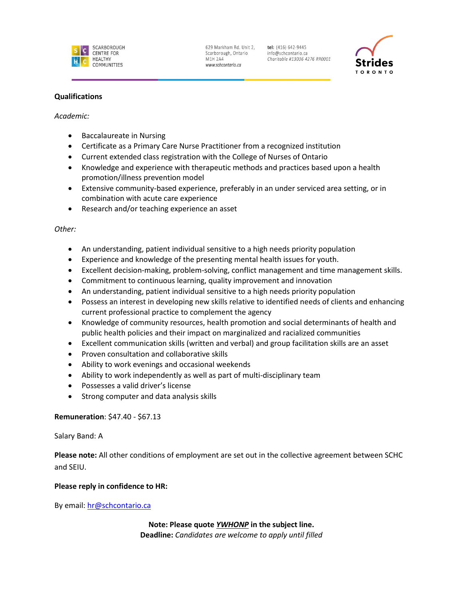

tel: (416) 642-9445 info@schcontario.ca Charitable #13036 4276 RR0001



# **Qualifications**

#### *Academic:*

- Baccalaureate in Nursing
- Certificate as a Primary Care Nurse Practitioner from a recognized institution
- Current extended class registration with the College of Nurses of Ontario
- Knowledge and experience with therapeutic methods and practices based upon a health promotion/illness prevention model
- Extensive community-based experience, preferably in an under serviced area setting, or in combination with acute care experience
- Research and/or teaching experience an asset

# *Other:*

- An understanding, patient individual sensitive to a high needs priority population
- Experience and knowledge of the presenting mental health issues for youth.
- Excellent decision-making, problem-solving, conflict management and time management skills.
- Commitment to continuous learning, quality improvement and innovation
- An understanding, patient individual sensitive to a high needs priority population
- Possess an interest in developing new skills relative to identified needs of clients and enhancing current professional practice to complement the agency
- Knowledge of community resources, health promotion and social determinants of health and public health policies and their impact on marginalized and racialized communities
- Excellent communication skills (written and verbal) and group facilitation skills are an asset
- Proven consultation and collaborative skills
- Ability to work evenings and occasional weekends
- Ability to work independently as well as part of multi-disciplinary team
- Possesses a valid driver's license
- Strong computer and data analysis skills

# **Remuneration**: \$47.40 - \$67.13

# Salary Band: A

**Please note:** All other conditions of employment are set out in the collective agreement between SCHC and SEIU.

# **Please reply in confidence to HR:**

By email: [hr@schcontario.ca](mailto:hr@schcontario.ca)

**Note: Please quote** *YWHONP* **in the subject line. Deadline:** *Candidates are welcome to apply until filled*